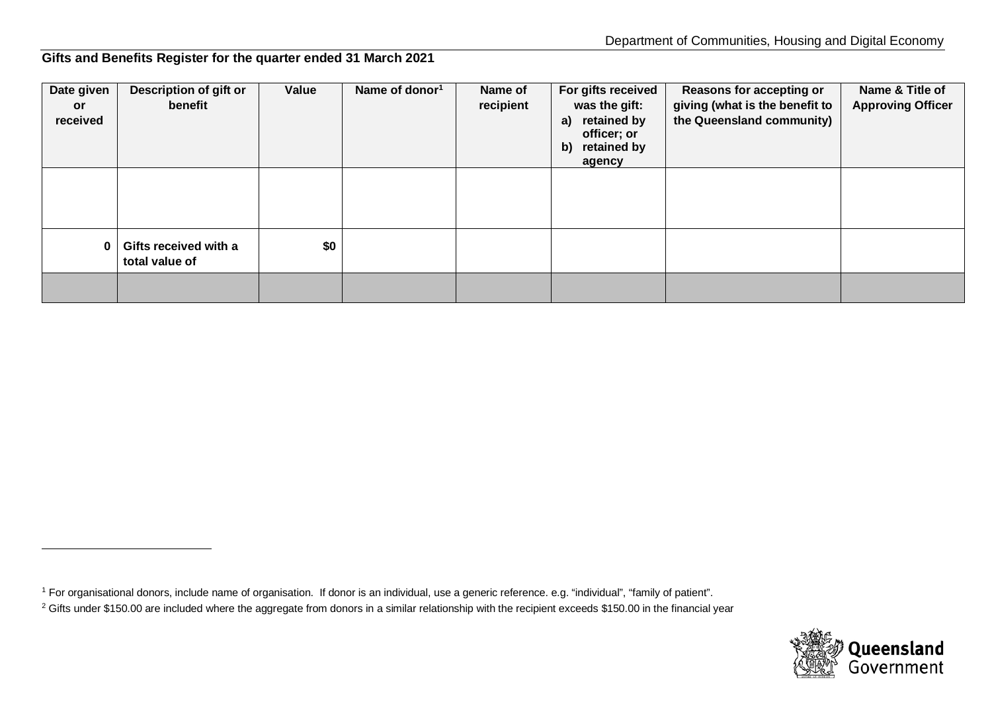## <span id="page-0-0"></span>**Gifts and Benefits Register for the quarter ended 31 March 2021**

| Date given<br>or<br>received | Description of gift or<br>benefit       | Value | Name of donor <sup>1</sup> | Name of<br>recipient | For gifts received<br>was the gift:<br>retained by<br>a)<br>officer; or<br>retained by<br>b)<br>agency | Reasons for accepting or<br>giving (what is the benefit to<br>the Queensland community) | Name & Title of<br><b>Approving Officer</b> |
|------------------------------|-----------------------------------------|-------|----------------------------|----------------------|--------------------------------------------------------------------------------------------------------|-----------------------------------------------------------------------------------------|---------------------------------------------|
|                              |                                         |       |                            |                      |                                                                                                        |                                                                                         |                                             |
|                              | Gifts received with a<br>total value of | \$0   |                            |                      |                                                                                                        |                                                                                         |                                             |
|                              |                                         |       |                            |                      |                                                                                                        |                                                                                         |                                             |



<sup>1</sup> For organisational donors, include name of organisation. If donor is an individual, use a generic reference. e.g. "individual", "family of patient".

<sup>&</sup>lt;sup>2</sup> Gifts under \$150.00 are included where the aggregate from donors in a similar relationship with the recipient exceeds \$150.00 in the financial year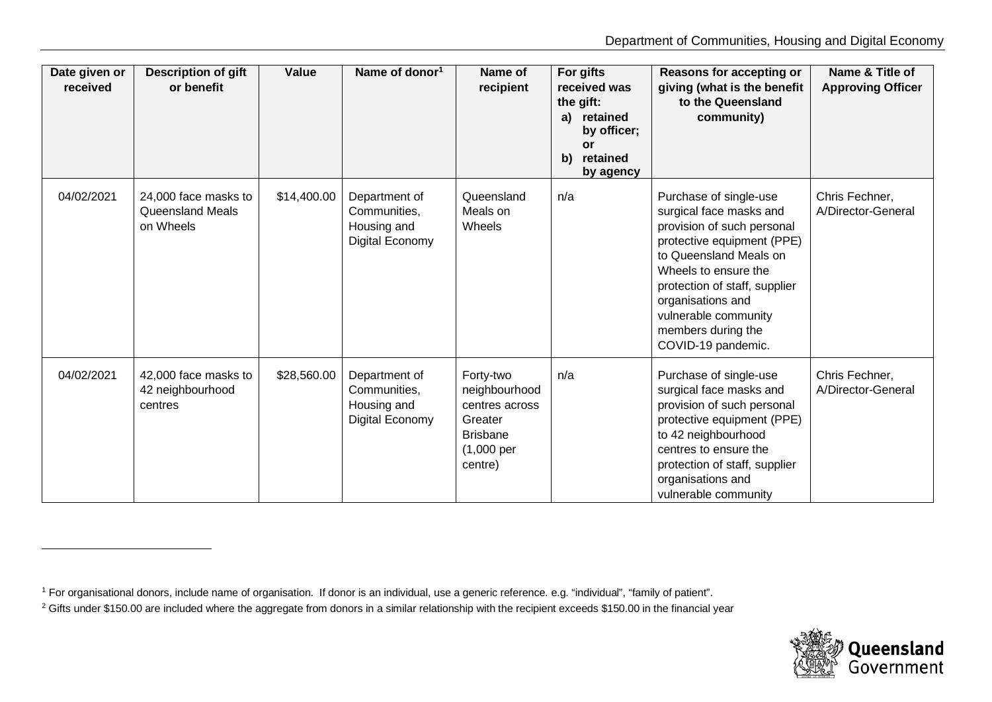<span id="page-1-0"></span>

| Date given or<br>received | <b>Description of gift</b><br>or benefit                     | Value       | Name of donor <sup>1</sup>                                      | Name of<br>recipient                                                                                           | For gifts<br>received was<br>the gift:<br>a) retained<br>by officer;<br>or<br>b)<br>retained<br>by agency | Reasons for accepting or<br>giving (what is the benefit<br>to the Queensland<br>community)                                                                                                                                                                                                | Name & Title of<br><b>Approving Officer</b> |
|---------------------------|--------------------------------------------------------------|-------------|-----------------------------------------------------------------|----------------------------------------------------------------------------------------------------------------|-----------------------------------------------------------------------------------------------------------|-------------------------------------------------------------------------------------------------------------------------------------------------------------------------------------------------------------------------------------------------------------------------------------------|---------------------------------------------|
| 04/02/2021                | 24,000 face masks to<br><b>Queensland Meals</b><br>on Wheels | \$14,400.00 | Department of<br>Communities,<br>Housing and<br>Digital Economy | Queensland<br>Meals on<br>Wheels                                                                               | n/a                                                                                                       | Purchase of single-use<br>surgical face masks and<br>provision of such personal<br>protective equipment (PPE)<br>to Queensland Meals on<br>Wheels to ensure the<br>protection of staff, supplier<br>organisations and<br>vulnerable community<br>members during the<br>COVID-19 pandemic. | Chris Fechner,<br>A/Director-General        |
| 04/02/2021                | 42,000 face masks to<br>42 neighbourhood<br>centres          | \$28,560.00 | Department of<br>Communities,<br>Housing and<br>Digital Economy | Forty-two<br>neighbourhood<br>centres across<br>Greater<br><b>Brisbane</b><br>$(1,000 \text{ per})$<br>centre) | n/a                                                                                                       | Purchase of single-use<br>surgical face masks and<br>provision of such personal<br>protective equipment (PPE)<br>to 42 neighbourhood<br>centres to ensure the<br>protection of staff, supplier<br>organisations and<br>vulnerable community                                               | Chris Fechner,<br>A/Director-General        |



<sup>&</sup>lt;sup>1</sup> For organisational donors, include name of organisation. If donor is an individual, use a generic reference. e.g. "individual", "family of patient".

<sup>&</sup>lt;sup>2</sup> Gifts under \$150.00 are included where the aggregate from donors in a similar relationship with the recipient exceeds \$150.00 in the financial year